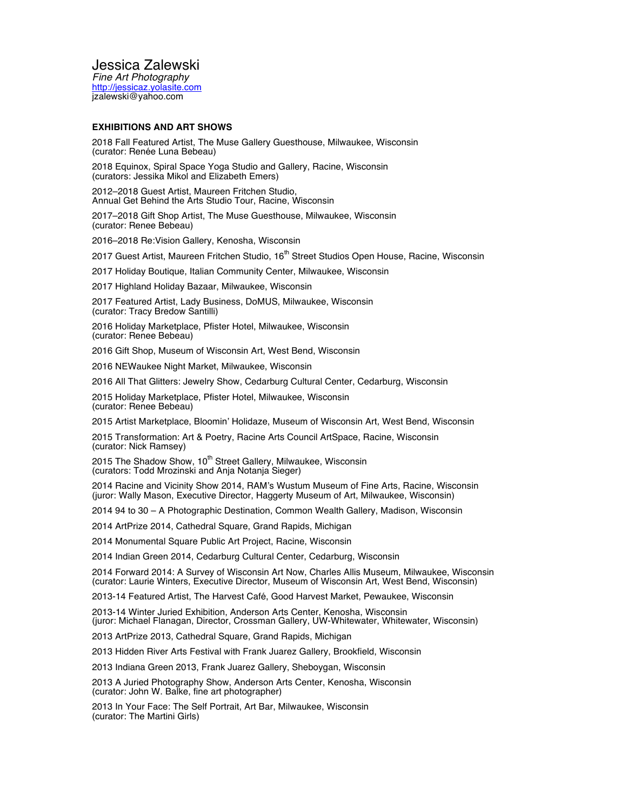Jessica Zalewski

*Fine Art Photography* http://jessicaz.yolasite.com jzalewski@yahoo.com

### **EXHIBITIONS AND ART SHOWS**

2018 Fall Featured Artist, The Muse Gallery Guesthouse, Milwaukee, Wisconsin (curator: Renée Luna Bebeau)

2018 Equinox, Spiral Space Yoga Studio and Gallery, Racine, Wisconsin (curators: Jessika Mikol and Elizabeth Emers)

2012–2018 Guest Artist, Maureen Fritchen Studio, Annual Get Behind the Arts Studio Tour, Racine, Wisconsin

2017–2018 Gift Shop Artist, The Muse Guesthouse, Milwaukee, Wisconsin (curator: Renee Bebeau)

2016–2018 Re:Vision Gallery, Kenosha, Wisconsin

2017 Guest Artist, Maureen Fritchen Studio, 16<sup>th</sup> Street Studios Open House, Racine, Wisconsin

2017 Holiday Boutique, Italian Community Center, Milwaukee, Wisconsin

2017 Highland Holiday Bazaar, Milwaukee, Wisconsin

2017 Featured Artist, Lady Business, DoMUS, Milwaukee, Wisconsin (curator: Tracy Bredow Santilli)

2016 Holiday Marketplace, Pfister Hotel, Milwaukee, Wisconsin (curator: Renee Bebeau)

2016 Gift Shop, Museum of Wisconsin Art, West Bend, Wisconsin

2016 NEWaukee Night Market, Milwaukee, Wisconsin

2016 All That Glitters: Jewelry Show, Cedarburg Cultural Center, Cedarburg, Wisconsin

2015 Holiday Marketplace, Pfister Hotel, Milwaukee, Wisconsin (curator: Renee Bebeau)

2015 Artist Marketplace, Bloomin' Holidaze, Museum of Wisconsin Art, West Bend, Wisconsin

2015 Transformation: Art & Poetry, Racine Arts Council ArtSpace, Racine, Wisconsin (curator: Nick Ramsey)

2015 The Shadow Show, 10<sup>th</sup> Street Gallery, Milwaukee, Wisconsin (curators: Todd Mrozinski and Anja Notanja Sieger)

2014 Racine and Vicinity Show 2014, RAM's Wustum Museum of Fine Arts, Racine, Wisconsin (juror: Wally Mason, Executive Director, Haggerty Museum of Art, Milwaukee, Wisconsin)

2014 94 to 30 – A Photographic Destination, Common Wealth Gallery, Madison, Wisconsin

2014 ArtPrize 2014, Cathedral Square, Grand Rapids, Michigan

2014 Monumental Square Public Art Project, Racine, Wisconsin

2014 Indian Green 2014, Cedarburg Cultural Center, Cedarburg, Wisconsin

2014 Forward 2014: A Survey of Wisconsin Art Now, Charles Allis Museum, Milwaukee, Wisconsin (curator: Laurie Winters, Executive Director, Museum of Wisconsin Art, West Bend, Wisconsin)

2013-14 Featured Artist, The Harvest Café, Good Harvest Market, Pewaukee, Wisconsin

2013-14 Winter Juried Exhibition, Anderson Arts Center, Kenosha, Wisconsin (juror: Michael Flanagan, Director, Crossman Gallery, UW-Whitewater, Whitewater, Wisconsin)

2013 ArtPrize 2013, Cathedral Square, Grand Rapids, Michigan

2013 Hidden River Arts Festival with Frank Juarez Gallery, Brookfield, Wisconsin

2013 Indiana Green 2013, Frank Juarez Gallery, Sheboygan, Wisconsin

2013 A Juried Photography Show, Anderson Arts Center, Kenosha, Wisconsin (curator: John W. Balke, fine art photographer)

2013 In Your Face: The Self Portrait, Art Bar, Milwaukee, Wisconsin (curator: The Martini Girls)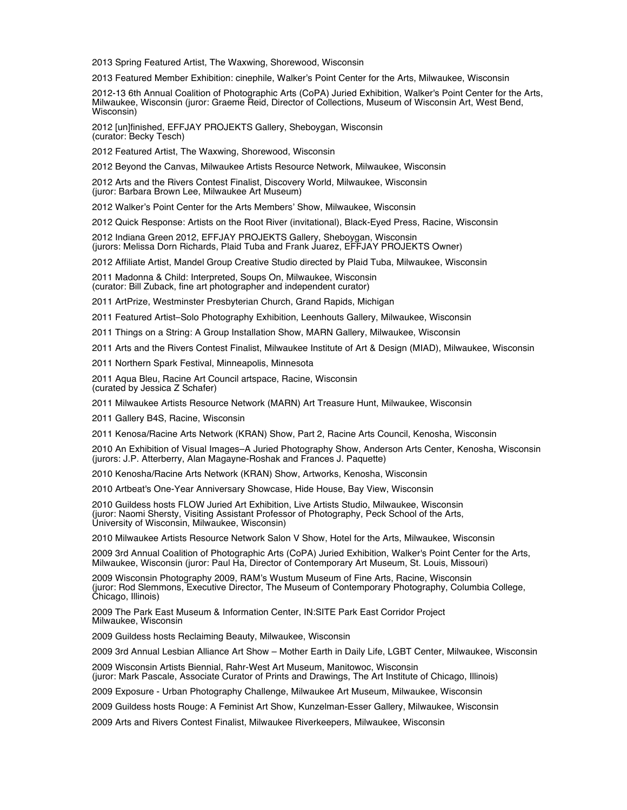2013 Spring Featured Artist, The Waxwing, Shorewood, Wisconsin

2013 Featured Member Exhibition: cinephile, Walker's Point Center for the Arts, Milwaukee, Wisconsin

2012-13 6th Annual Coalition of Photographic Arts (CoPA) Juried Exhibition, Walker's Point Center for the Arts, Milwaukee, Wisconsin (juror: Graeme Reid, Director of Collections, Museum of Wisconsin Art, West Bend, Wisconsin)

2012 [un]finished, EFFJAY PROJEKTS Gallery, Sheboygan, Wisconsin (curator: Becky Tesch)

2012 Featured Artist, The Waxwing, Shorewood, Wisconsin

2012 Beyond the Canvas, Milwaukee Artists Resource Network, Milwaukee, Wisconsin

2012 Arts and the Rivers Contest Finalist, Discovery World, Milwaukee, Wisconsin (juror: Barbara Brown Lee, Milwaukee Art Museum)

2012 Walker's Point Center for the Arts Members' Show, Milwaukee, Wisconsin

2012 Quick Response: Artists on the Root River (invitational), Black-Eyed Press, Racine, Wisconsin

2012 Indiana Green 2012, EFFJAY PROJEKTS Gallery, Sheboygan, Wisconsin (jurors: Melissa Dorn Richards, Plaid Tuba and Frank Juarez, EFFJAY PROJEKTS Owner)

2012 Affiliate Artist, Mandel Group Creative Studio directed by Plaid Tuba, Milwaukee, Wisconsin

2011 Madonna & Child: Interpreted, Soups On, Milwaukee, Wisconsin (curator: Bill Zuback, fine art photographer and independent curator)

2011 ArtPrize, Westminster Presbyterian Church, Grand Rapids, Michigan

2011 Featured Artist–Solo Photography Exhibition, Leenhouts Gallery, Milwaukee, Wisconsin

2011 Things on a String: A Group Installation Show, MARN Gallery, Milwaukee, Wisconsin

2011 Arts and the Rivers Contest Finalist, Milwaukee Institute of Art & Design (MIAD), Milwaukee, Wisconsin

2011 Northern Spark Festival, Minneapolis, Minnesota

2011 Aqua Bleu, Racine Art Council artspace, Racine, Wisconsin (curated by Jessica Z Schafer)

2011 Milwaukee Artists Resource Network (MARN) Art Treasure Hunt, Milwaukee, Wisconsin

2011 Gallery B4S, Racine, Wisconsin

2011 Kenosa/Racine Arts Network (KRAN) Show, Part 2, Racine Arts Council, Kenosha, Wisconsin

2010 An Exhibition of Visual Images–A Juried Photography Show, Anderson Arts Center, Kenosha, Wisconsin (jurors: J.P. Atterberry, Alan Magayne-Roshak and Frances J. Paquette)

2010 Kenosha/Racine Arts Network (KRAN) Show, Artworks, Kenosha, Wisconsin

2010 Artbeat's One-Year Anniversary Showcase, Hide House, Bay View, Wisconsin

2010 Guildess hosts FLOW Juried Art Exhibition, Live Artists Studio, Milwaukee, Wisconsin (juror: Naomi Shersty, Visiting Assistant Professor of Photography, Peck School of the Arts, University of Wisconsin, Milwaukee, Wisconsin)

2010 Milwaukee Artists Resource Network Salon V Show, Hotel for the Arts, Milwaukee, Wisconsin

2009 3rd Annual Coalition of Photographic Arts (CoPA) Juried Exhibition, Walker's Point Center for the Arts, Milwaukee, Wisconsin (juror: Paul Ha, Director of Contemporary Art Museum, St. Louis, Missouri)

2009 Wisconsin Photography 2009, RAM's Wustum Museum of Fine Arts, Racine, Wisconsin (juror: Rod Slemmons, Executive Director, The Museum of Contemporary Photography, Columbia College, Chicago, Illinois)

2009 The Park East Museum & Information Center, IN:SITE Park East Corridor Project Milwaukee, Wisconsin

2009 Guildess hosts Reclaiming Beauty, Milwaukee, Wisconsin

2009 3rd Annual Lesbian Alliance Art Show – Mother Earth in Daily Life, LGBT Center, Milwaukee, Wisconsin

2009 Wisconsin Artists Biennial, Rahr-West Art Museum, Manitowoc, Wisconsin (juror: Mark Pascale, Associate Curator of Prints and Drawings, The Art Institute of Chicago, Illinois)

2009 Exposure - Urban Photography Challenge, Milwaukee Art Museum, Milwaukee, Wisconsin

2009 Guildess hosts Rouge: A Feminist Art Show, Kunzelman-Esser Gallery, Milwaukee, Wisconsin

2009 Arts and Rivers Contest Finalist, Milwaukee Riverkeepers, Milwaukee, Wisconsin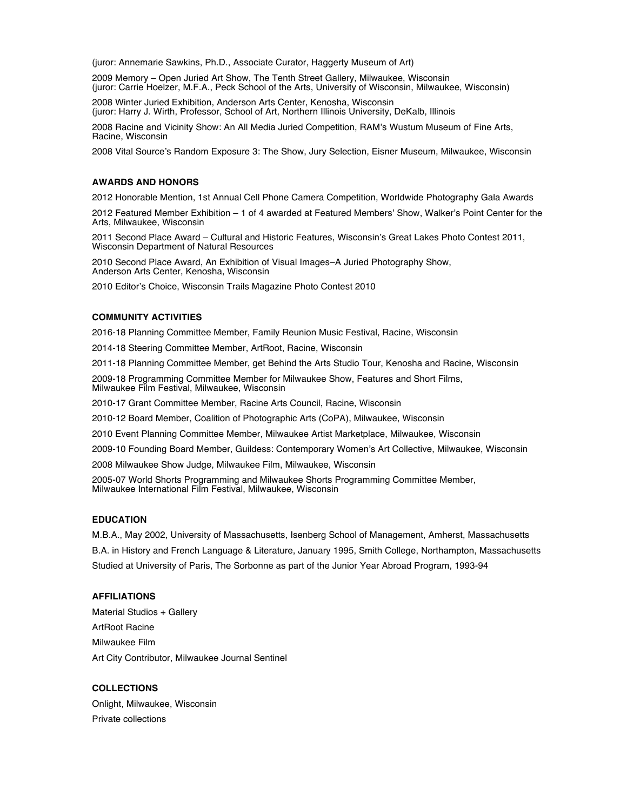(juror: Annemarie Sawkins, Ph.D., Associate Curator, Haggerty Museum of Art)

2009 Memory – Open Juried Art Show, The Tenth Street Gallery, Milwaukee, Wisconsin (juror: Carrie Hoelzer, M.F.A., Peck School of the Arts, University of Wisconsin, Milwaukee, Wisconsin)

2008 Winter Juried Exhibition, Anderson Arts Center, Kenosha, Wisconsin (juror: Harry J. Wirth, Professor, School of Art, Northern Illinois University, DeKalb, Illinois

2008 Racine and Vicinity Show: An All Media Juried Competition, RAM's Wustum Museum of Fine Arts, Racine, Wisconsin

2008 Vital Source's Random Exposure 3: The Show, Jury Selection, Eisner Museum, Milwaukee, Wisconsin

## **AWARDS AND HONORS**

2012 Honorable Mention, 1st Annual Cell Phone Camera Competition, Worldwide Photography Gala Awards

2012 Featured Member Exhibition – 1 of 4 awarded at Featured Members' Show, Walker's Point Center for the Arts, Milwaukee, Wisconsin

2011 Second Place Award – Cultural and Historic Features, Wisconsin's Great Lakes Photo Contest 2011, Wisconsin Department of Natural Resources

2010 Second Place Award, An Exhibition of Visual Images–A Juried Photography Show, Anderson Arts Center, Kenosha, Wisconsin

2010 Editor's Choice, Wisconsin Trails Magazine Photo Contest 2010

# **COMMUNITY ACTIVITIES**

2016-18 Planning Committee Member, Family Reunion Music Festival, Racine, Wisconsin

2014-18 Steering Committee Member, ArtRoot, Racine, Wisconsin

2011-18 Planning Committee Member, get Behind the Arts Studio Tour, Kenosha and Racine, Wisconsin

2009-18 Programming Committee Member for Milwaukee Show, Features and Short Films, Milwaukee Film Festival, Milwaukee, Wisconsin

2010-17 Grant Committee Member, Racine Arts Council, Racine, Wisconsin

2010-12 Board Member, Coalition of Photographic Arts (CoPA), Milwaukee, Wisconsin

2010 Event Planning Committee Member, Milwaukee Artist Marketplace, Milwaukee, Wisconsin

2009-10 Founding Board Member, Guildess: Contemporary Women's Art Collective, Milwaukee, Wisconsin

2008 Milwaukee Show Judge, Milwaukee Film, Milwaukee, Wisconsin

2005-07 World Shorts Programming and Milwaukee Shorts Programming Committee Member, Milwaukee International Film Festival, Milwaukee, Wisconsin

### **EDUCATION**

M.B.A., May 2002, University of Massachusetts, Isenberg School of Management, Amherst, Massachusetts B.A. in History and French Language & Literature, January 1995, Smith College, Northampton, Massachusetts Studied at University of Paris, The Sorbonne as part of the Junior Year Abroad Program, 1993-94

#### **AFFILIATIONS**

Material Studios + Gallery ArtRoot Racine Milwaukee Film Art City Contributor, Milwaukee Journal Sentinel

## **COLLECTIONS**

Onlight, Milwaukee, Wisconsin Private collections